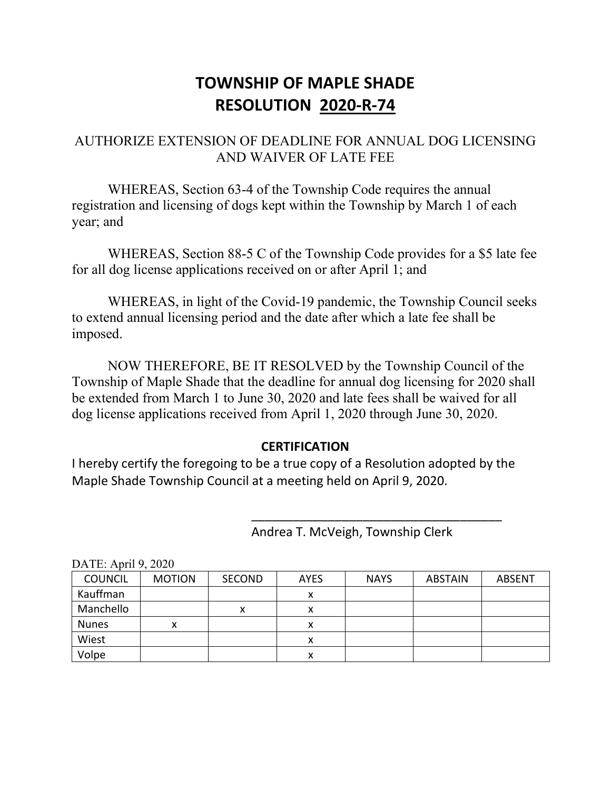## **TOWNSHIP OF MAPLE SHADE RESOLUTION 2020-R-74**

### AUTHORIZE EXTENSION OF DEADLINE FOR ANNUAL DOG LICENSING AND WAIVER OF LATE FEE

WHEREAS, Section 63-4 of the Township Code requires the annual registration and licensing of dogs kept within the Township by March 1 of each year; and

WHEREAS, Section 88-5 C of the Township Code provides for a \$5 late fee for all dog license applications received on or after April 1; and

WHEREAS, in light of the Covid-19 pandemic, the Township Council seeks to extend annual licensing period and the date after which a late fee shall be imposed.

NOW THEREFORE, BE IT RESOLVED by the Township Council of the Township of Maple Shade that the deadline for annual dog licensing for 2020 shall be extended from March 1 to June 30, 2020 and late fees shall be waived for all dog license applications received from April 1, 2020 through June 30, 2020.

### **CERTIFICATION**

I hereby certify the foregoing to be a true copy of a Resolution adopted by the Maple Shade Township Council at a meeting held on April 9, 2020.

Andrea T. McVeigh, Township Clerk

\_\_\_\_\_\_\_\_\_\_\_\_\_\_\_\_\_\_\_\_\_\_\_\_\_\_\_\_\_\_\_\_\_\_\_\_

| <b>COUNCIL</b> | <b>MOTION</b> | <b>SECOND</b> | AYES | <b>NAYS</b> | <b>ABSTAIN</b> | <b>ABSENT</b> |  |  |  |
|----------------|---------------|---------------|------|-------------|----------------|---------------|--|--|--|
| Kauffman       |               |               | х    |             |                |               |  |  |  |
| Manchello      |               | x             |      |             |                |               |  |  |  |
| <b>Nunes</b>   | x             |               | x    |             |                |               |  |  |  |
| Wiest          |               |               | x    |             |                |               |  |  |  |
| Volpe          |               |               | x    |             |                |               |  |  |  |

 $\text{DATE: Anril } 9, 2020$